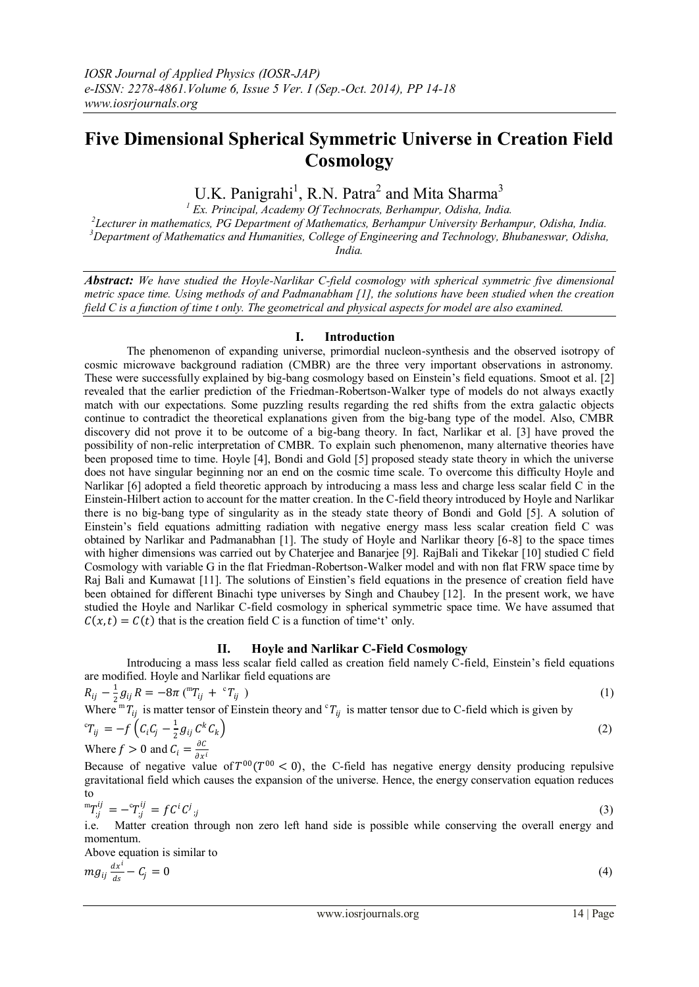# **Five Dimensional Spherical Symmetric Universe in Creation Field Cosmology**

U.K. Panigrahi<sup>1</sup>, R.N. Patra<sup>2</sup> and Mita Sharma<sup>3</sup>

 *Ex. Principal, Academy Of Technocrats, Berhampur, Odisha, India. Lecturer in mathematics, PG Department of Mathematics, Berhampur University Berhampur, Odisha, India. Department of Mathematics and Humanities, College of Engineering and Technology, Bhubaneswar, Odisha, India.*

*Abstract: We have studied the Hoyle-Narlikar C-field cosmology with spherical symmetric five dimensional metric space time. Using methods of and Padmanabham [1], the solutions have been studied when the creation field C is a function of time t only. The geometrical and physical aspects for model are also examined.*

# **I. Introduction**

The phenomenon of expanding universe, primordial nucleon-synthesis and the observed isotropy of cosmic microwave background radiation (CMBR) are the three very important observations in astronomy. These were successfully explained by big-bang cosmology based on Einstein's field equations. Smoot et al. [2] revealed that the earlier prediction of the Friedman-Robertson-Walker type of models do not always exactly match with our expectations. Some puzzling results regarding the red shifts from the extra galactic objects continue to contradict the theoretical explanations given from the big-bang type of the model. Also, CMBR discovery did not prove it to be outcome of a big-bang theory. In fact, Narlikar et al. [3] have proved the possibility of non-relic interpretation of CMBR. To explain such phenomenon, many alternative theories have been proposed time to time. Hoyle [4], Bondi and Gold [5] proposed steady state theory in which the universe does not have singular beginning nor an end on the cosmic time scale. To overcome this difficulty Hoyle and Narlikar [6] adopted a field theoretic approach by introducing a mass less and charge less scalar field C in the Einstein-Hilbert action to account for the matter creation. In the C-field theory introduced by Hoyle and Narlikar there is no big-bang type of singularity as in the steady state theory of Bondi and Gold [5]. A solution of Einstein's field equations admitting radiation with negative energy mass less scalar creation field C was obtained by Narlikar and Padmanabhan [1]. The study of Hoyle and Narlikar theory [6-8] to the space times with higher dimensions was carried out by Chaterjee and Banarjee [9]. RajBali and Tikekar [10] studied C field Cosmology with variable G in the flat Friedman-Robertson-Walker model and with non flat FRW space time by Raj Bali and Kumawat [11]. The solutions of Einstien's field equations in the presence of creation field have been obtained for different Binachi type universes by Singh and Chaubey [12]. In the present work, we have studied the Hoyle and Narlikar C-field cosmology in spherical symmetric space time. We have assumed that  $C(x, t) = C(t)$  that is the creation field C is a function of time't' only.

# **II. Hoyle and Narlikar C-Field Cosmology**

Introducing a mass less scalar field called as creation field namely C-field, Einstein's field equations are modified. Hoyle and Narlikar field equations are

$$
R_{ij} - \frac{1}{2}g_{ij}R = -8\pi \, (^{m}T_{ij} + ^{c}T_{ij})
$$
\n(1)  
\nWhere  ${}^{m}T_{ij}$  is matter tensor of Einstein theory and  ${}^{c}T_{ij}$  is matter tensor due to C-field which is given by  
\n ${}^{c}T_{ij} = -f\left(C_{i}C_{j} - \frac{1}{2}g_{ij}C^{k}C_{k}\right)$ \n(2)  
\nWhen f > 0 and C

Where  $f > 0$  and  $C_i = \frac{\partial C}{\partial x_i}$  $\partial x^i$ 

Because of negative value of  $T^{00}(T^{00} < 0)$ , the C-field has negative energy density producing repulsive gravitational field which causes the expansion of the universe. Hence, the energy conservation equation reduces to

$$
{}^{m}T_{;j}^{ij} = -{}^{c}T_{;j}^{ij} = f C^{i} C^{j}{}_{;j}
$$
\n(3)

i.e. Matter creation through non zero left hand side is possible while conserving the overall energy and momentum.

Above equation is similar to

$$
mg_{ij}\frac{dx^i}{ds} - C_j = 0\tag{4}
$$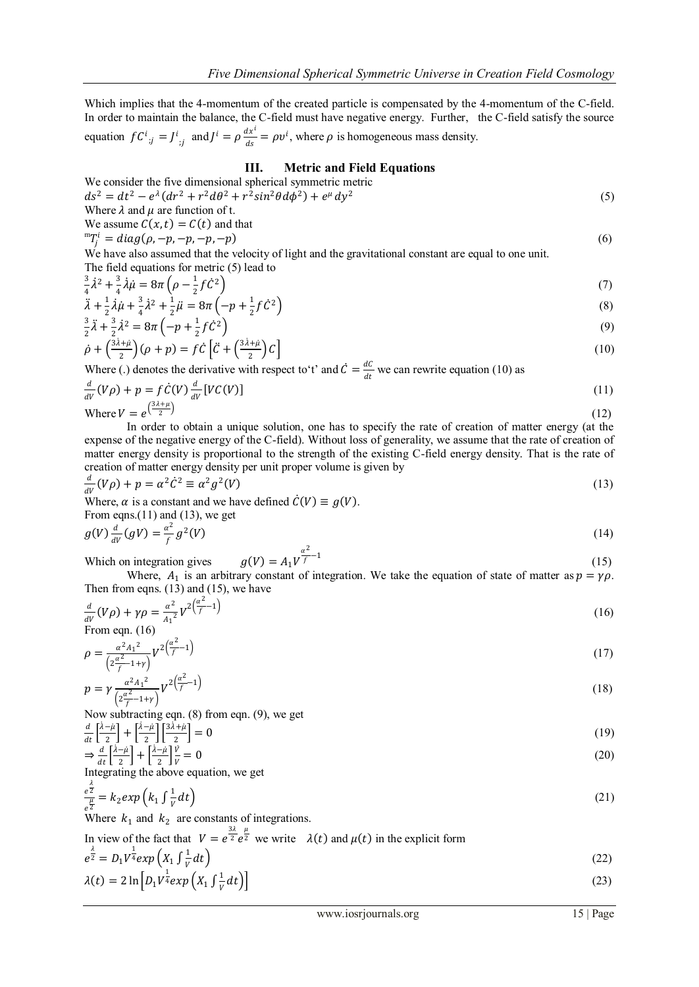Which implies that the 4-momentum of the created particle is compensated by the 4-momentum of the C-field. In order to maintain the balance, the C-field must have negative energy. Further, the C-field satisfy the source i

equation 
$$
f C^i_{\;;j} = J^i_{\;;j}
$$
 and  $J^i = \rho \frac{dx^i}{ds} = \rho v^i$ , where  $\rho$  is homogeneous mass density.

# **III. Metric and Field Equations**

We consider the five dimensional spherical symmetric metric

$$
ds^{2} = dt^{2} - e^{\lambda} (dr^{2} + r^{2} d\theta^{2} + r^{2} sin^{2} \theta d\phi^{2}) + e^{\mu} dy^{2}
$$
\n(5)  
\nWhere  $\lambda$  and  $\mu$  are function of t.

We assume 
$$
C(x, t) = C(t)
$$
 and that

 ${}^{m}T_{j}^{i} = diag(\rho, -p, -p, -p, -p)$  (6)

We have also assumed that the velocity of light and the gravitational constant are equal to one unit. The field equations for metric (5) lead to

$$
\frac{3}{4}\lambda^2 + \frac{3}{4}\lambda\dot{\mu} = 8\pi \left(\rho - \frac{1}{2}f\dot{C}^2\right)
$$
\n(7)

$$
\ddot{\lambda} + \frac{1}{2}\dot{\lambda}\dot{\mu} + \frac{3}{4}\dot{\lambda}^2 + \frac{1}{2}\ddot{\mu} = 8\pi \left( -p + \frac{1}{2}f\dot{C}^2 \right)
$$
\n(8)\n
$$
\frac{3}{2}\ddot{\lambda} + \frac{3}{2}\dot{\lambda}^2 = 8\pi \left( -p + \frac{1}{2}f\dot{C}^2 \right)
$$
\n(9)

$$
\frac{1}{2}\lambda + \frac{1}{2}\lambda^2 = \delta n \left( -p + \frac{1}{2} \right) C^{-1}
$$
\n
$$
\dot{\rho} + \left( \frac{3\lambda + \mu}{2} \right) (\rho + p) = f \dot{C} \left[ \ddot{C} + \left( \frac{3\lambda + \mu}{2} \right) C \right]
$$
\n(10)

Where (.) denotes the derivative with respect to 't' and  $\dot{C} = \frac{dC}{dt}$  $\frac{ac}{dt}$  we can rewrite equation (10) as

$$
\frac{d}{dV}(V\rho) + p = f\dot{C}(V)\frac{d}{dV}[VC(V)]\tag{11}
$$
\n
$$
\text{Where } V = e^{\left(\frac{3\lambda + \mu}{2}\right)}\tag{12}
$$

In order to obtain a unique solution, one has to specify the rate of creation of matter energy (at the expense of the negative energy of the C-field). Without loss of generality, we assume that the rate of creation of matter energy density is proportional to the strength of the existing C-field energy density. That is the rate of creation of matter energy density per unit proper volume is given by

$$
\frac{d}{dV}(V\rho) + p = \alpha^2 \dot{C}^2 \equiv \alpha^2 g^2(V) \tag{13}
$$

Where,  $\alpha$  is a constant and we have defined  $\dot{C}(V) \equiv g(V)$ .

From eqns.(11) and (13), we get  $g(V) \frac{d}{v}$  $\frac{d}{dV}(gV) = \frac{\alpha^2}{f}$  $\frac{y}{f}$  g

$$
^{2}(V)\tag{14}
$$

Which on integration gives 
$$
g(V) = A_1 V^{\frac{\alpha^2}{f} - 1}
$$
 (15)  
When A is an arbitrary constant of intersection. We take the equation of state of matter as  $n = v$ 

Where,  $A_1$  is an arbitrary constant of integration. We take the equation of state of matter as  $p = \gamma \rho$ . Then from eqns. (13) and (15), we have

$$
\frac{d}{dV}(V\rho) + \gamma \rho = \frac{\alpha^2}{A_1^2} V^{2\left(\frac{\alpha^2}{f} - 1\right)}
$$
\nFrom eqn. (16)

$$
\rho = \frac{\alpha^2 A_1^2}{\left(2\frac{\alpha^2}{f} - 1 + r\right)} V^2 \left(\frac{\alpha^2}{f} - 1\right) \tag{17}
$$

$$
p = \gamma \frac{\alpha^2 A_1^2}{\left(2\frac{\alpha^2}{f} - 1 + \gamma\right)} V^{2\left(\frac{\alpha^2}{f} - 1\right)}
$$
(18)

Now subtracting eqn. (8) from eqn. (9), we get

$$
\frac{d}{dt}\left[\frac{\dot{\lambda}-\mu}{2}\right] + \left[\frac{\dot{\lambda}-\mu}{2}\right]\left[\frac{3\dot{\lambda}+\mu}{2}\right] = 0
$$
\n
$$
\Rightarrow \frac{d}{dt}\left[\frac{\dot{\lambda}-\mu}{2}\right] + \left[\frac{\dot{\lambda}-\mu}{2}\right]\frac{\dot{V}}{V} = 0
$$
\n(19)

Integrating the above equation, we get

$$
\frac{e^{\frac{\lambda}{2}}}{e^{\frac{\mu}{2}}} = k_2 \exp\left(k_1 \int \frac{1}{V} dt\right) \tag{21}
$$

Where  $k_1$  and  $k_2$  are constants of integrations.

In view of the fact that  $V = e^{\frac{3\lambda}{2}} e^{\frac{\mu}{2}}$  we write  $\lambda(t)$  and  $\mu(t)$  in the explicit form  $e^{\frac{\lambda}{2}} = D_1 V^{\frac{1}{4}} exp(X_1 \int \frac{1}{V_1})$ 

$$
e^{\overline{z}} = D_1 V^{\overline{z}} exp\left(X_1 \int \frac{1}{V} dt\right)
$$
  
\n
$$
\lambda(t) = 2 \ln \left[D_1 V^{\frac{1}{2}} exp\left(X_1 \int \frac{1}{V} dt\right)\right]
$$
\n(22)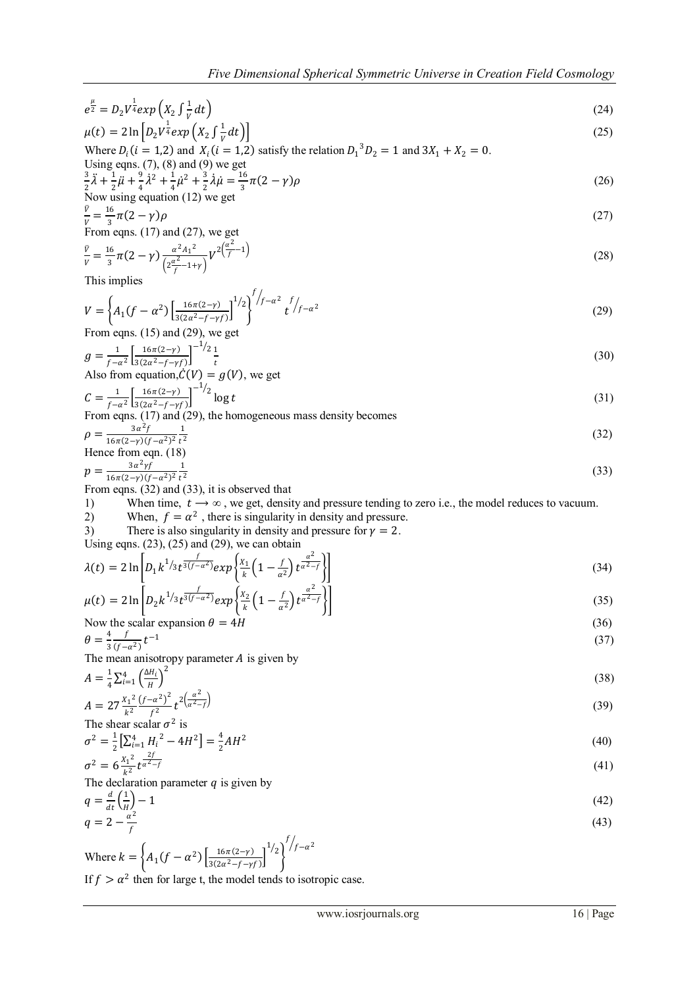$$
e^{\frac{\mu}{2}} = D_2 V^{\frac{1}{4}} exp\left(X_2 \int \frac{1}{V} dt\right)
$$
  
\n
$$
\mu(t) = 2 \ln \left[ D_2 V^{\frac{1}{4}} exp\left(X_2 \int \frac{1}{V} dt\right) \right]
$$
\n(24)

$$
\mu(t) = 2 \ln \left[ D_2 V^{\frac{1}{4}} exp\left(X_2 \int \frac{1}{V} dt\right) \right]
$$
  
Where  $D_i$  (*i* = 1,2) and  $X_i$  (*i* = 1,2) satisfy the relation  $D_1^3 D_2 = 1$  and  $3X_1 + X_2 = 0$ .

Using eqns. (7), (8) and (9) we get  
\n
$$
\frac{3}{2}\ddot{\lambda} + \frac{1}{2}\ddot{\mu} + \frac{9}{4}\dot{\lambda}^2 + \frac{1}{4}\dot{\mu}^2 + \frac{3}{2}\dot{\lambda}\dot{\mu} = \frac{16}{3}\pi(2-\gamma)\rho
$$
\n(26)

Now using equation (12) we get  
\n
$$
\frac{\partial}{\partial x} = \frac{16}{2} \pi (2 - \gamma) \rho
$$
\n(27)

 3 From eqns. (17) and (27), we get

$$
\frac{\nu}{\nu} = \frac{16}{3}\pi(2-\gamma)\frac{\alpha^2A_1^2}{\left(2\frac{\alpha^2}{f}-1+\gamma\right)}V^{2\left(\frac{\alpha^2}{f}-1\right)}\tag{28}
$$

This implies

$$
V = \left\{ A_1(f - \alpha^2) \left[ \frac{16\pi(2-\gamma)}{3(2\alpha^2 - f - \gamma f)} \right]^{1/2} \right\}^{f/2 - \alpha^2} t^{f/2 - \alpha^2} \tag{29}
$$
\nFrom eqns. (15) and (29) we get

From eqns. (15) and (29), we get 
$$
\frac{1}{1}
$$

$$
g = \frac{1}{f - \alpha^2} \left[ \frac{16\pi(2-\gamma)}{3(2\alpha^2 - f - \gamma f)} \right]^{-1/2} \frac{1}{t}
$$
  
Also from equation,  $\hat{C}(V) = g(V)$ , we get

 $C=\frac{1}{c}$  $\frac{1}{f-\alpha^2} \left[ \frac{16\pi(2-\gamma)}{3(2\alpha^2-f-\gamma)} \right]$  $\frac{10h(2-\gamma)}{3(2\alpha^2-f-\gamma f)}$  $\frac{-1}{2} \log t$  (31)

From eqns. (17) and (29), the homogeneous mass density becomes  
\n
$$
\rho = \frac{3\alpha^2 f}{16\pi(2-\gamma)(f-\alpha^2)^2} \frac{1}{t^2}
$$
\n(32)

Hence from eqn. (18)  
\n
$$
p = \frac{3a^2 \gamma f}{16\pi (2-\gamma)(f-a^2)^2} \frac{1}{t^2}
$$
\n(33)

From eqns. (32) and (33), it is observed that

1) When time,  $t \to \infty$ , we get, density and pressure tending to zero i.e., the model reduces to vacuum.<br>2) When  $f = \alpha^2$  there is singularity in density and pressure

2) When, 
$$
f = \alpha^2
$$
, there is singularity in density and pressure.

3) There is also singularity in density and pressure for 
$$
\gamma = 2
$$
.

Using eqns.  $(23)$ ,  $(25)$  and  $(29)$ , we can obtain

$$
\lambda(t) = 2 \ln \left[ D_1 k^{1/3} t^{\frac{f}{3(f-a^2)}} exp\left\{ \frac{x_1}{k} \left( 1 - \frac{f}{a^2} \right) t^{\frac{a^2}{a^2 - f}} \right\} \right]
$$
(34)

$$
\mu(t) = 2 \ln \left[ D_2 k^{1/3} t^{\frac{f}{3(f-a^2)}} exp\left\{ \frac{x_2}{k} \left( 1 - \frac{f}{a^2} \right) t^{\frac{a}{a^2 - f}} \right\} \right]
$$
(35)

Now the scalar expansion 
$$
\theta = 4H
$$
 (36)  
\n
$$
\theta = \frac{4}{3} \frac{f}{(f-a^2)} t^{-1}
$$
 (37)

The mean anisotropy parameter  $A$  is given by

$$
A = \frac{1}{4} \sum_{i=1}^{4} \left(\frac{\Delta H_i}{H}\right)^2
$$
  

$$
x_i^2 (f - \alpha^2)^2 \left(2\frac{\alpha^2}{H}\right)
$$
 (38)

$$
A = 27 \frac{x_1^2}{k^2} \frac{(f - \alpha^2)^2}{f^2} t^{2(\frac{\alpha}{\alpha^2 - f})}
$$
\nThe shear scalar  $\sigma^2$  is

The shear scalar 
$$
\sigma^2
$$
 is  
\n
$$
\sigma^2 = \frac{1}{2} \left[ \sum_{i=1}^4 H_i^2 - 4H^2 \right] = \frac{4}{2} AH^2
$$
\n(40)

$$
\sigma^2 = 6 \frac{\chi_1^2}{k^2} t^{\frac{2f}{\alpha^2 - f}} \tag{41}
$$

The declaration parameter  $q$  is given by

$$
q = \frac{d}{dt} \left(\frac{1}{H}\right) - 1\tag{42}
$$
\n
$$
q = 2 - \frac{\alpha^2}{t}\tag{43}
$$

$$
q = 2 - \frac{1}{f}
$$
\n
$$
\text{Where } k = \left\{ A_1 (f - \alpha^2) \left[ \frac{16\pi (2 - y)}{3(2\alpha^2 - f - y^2)} \right]^{1/2} \right\}^{f/2 - \alpha^2}
$$
\n(43)

If  $f > \alpha^2$  then for large t, the model tends to isotropic case.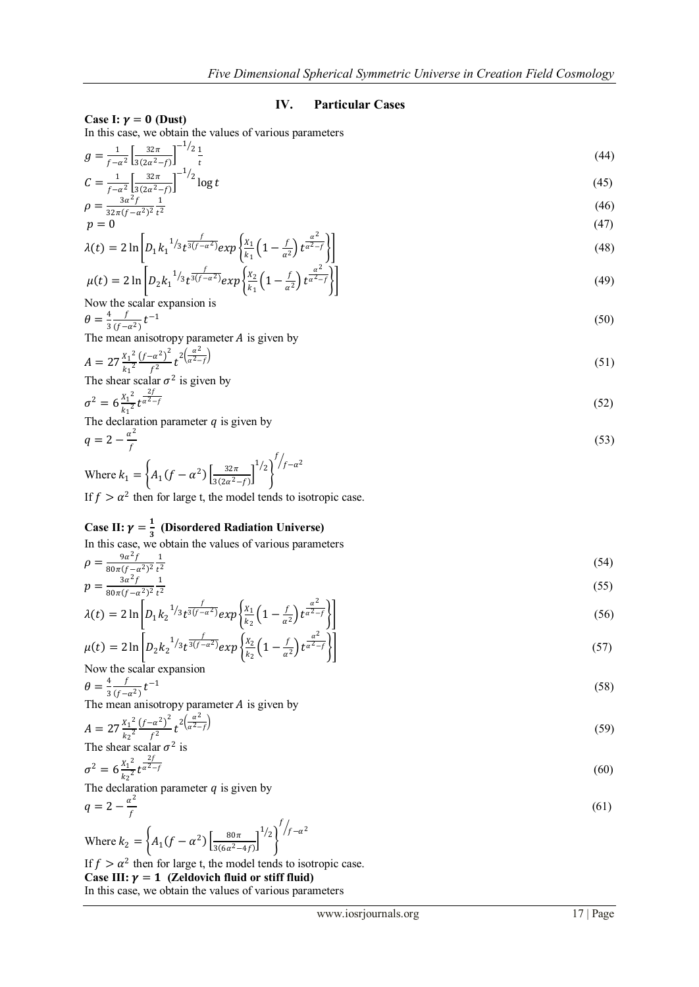### **IV. Particular Cases**

Case I:  $\gamma = 0$  (Dust)

In this case, we obtain the values of various parameters

$$
g = \frac{1}{f - \alpha^2} \left[ \frac{32\pi}{3(2\alpha^2 - f)} \right]^{-1/2} \frac{1}{t}
$$
(44)

$$
C = \frac{1}{f - a^2} \left[ \frac{32\pi}{3(2a^2 - f)} \right]^{-1/2} \log t
$$
\n(45)

$$
\rho = \frac{3a^2 f}{32\pi (f - a^2)^2} \frac{1}{t^2} \tag{46}
$$

$$
p = 0
$$
\n
$$
\lambda(t) = 2 \ln \left[ D_1 k_1^{-1/3} t^{\frac{f}{3(f - \alpha^2)}} exp\left\{ \frac{x_1}{k_1} \left( 1 - \frac{f}{\alpha^2} \right) t^{\frac{\alpha^2}{\alpha^2 - f}} \right\} \right]
$$
\n(47)

$$
\mu(t) = 2 \ln \left[ D_2 k_1^{-1/3} t^{\frac{f}{3(f - \alpha^2)}} exp\left\{ \frac{x_2}{k_1} \left( 1 - \frac{f}{\alpha^2} \right) t^{\frac{\alpha^2}{\alpha^2 - f}} \right\} \right]
$$
(49)

Now the scalar expansion is

$$
\theta = \frac{4}{3} \frac{f}{(f - a^2)} t^{-1}
$$
(50)

The mean anisotropy parameter *A* is given by

$$
A = 27 \frac{x_1^2}{k_1^2} \frac{(f - \alpha^2)^2}{f^2} t^{2\left(\frac{\alpha^2}{\alpha^2 - f}\right)}\tag{51}
$$

The shear scalar 
$$
\sigma^2
$$
 is given by  

$$
\sigma^2 = 6 \frac{X_1^2}{\sigma^2 + \sigma^2} \frac{2f}{\sigma^2 + f} \tag{52}
$$

$$
\sigma^2 = 6 \frac{\lambda_1}{k_1^2} t^{\frac{1}{\alpha^2 - f}}
$$
  
The declaration parameter *q* is given by

$$
q = 2 - \frac{\alpha^2}{f} \tag{53}
$$

Where 
$$
k_1 = \left\{ A_1(f - \alpha^2) \left[ \frac{32\pi}{3(2\alpha^2 - f)} \right]^{1/2} \right\}^{f/2 - \alpha^2}
$$
  
If  $f > \alpha^2$  then for large t, the model tends to isotronic case.

If  $f > \alpha^2$  then for large t, the model tends to isotropic case.

#### Case II:  $\gamma = \frac{1}{2}$  **(Disordered Radiation Universe)**

In this case, we obtain the values of various parameters

$$
\rho = \frac{9a^2f}{80\pi(f - a^2)^2} \frac{1}{t^2} \tag{54}
$$

$$
p = \frac{3a^2f}{80\pi(f - a^2)^2} \frac{1}{t^2}
$$
\n(55)

$$
\lambda(t) = 2 \ln \left[ D_1 k_2^{-1/3} t^{\frac{f}{3(f-a^2)}} exp\left\{ \frac{x_1}{k_2} \left( 1 - \frac{f}{a^2} \right) t^{\frac{a^2}{\alpha^2 - f}} \right\} \right]
$$
(56)

$$
\mu(t) = 2 \ln \left[ D_2 k_2^{-1/3} t^{\frac{f}{3(f-a^2)}} exp\left\{ \frac{x_2}{k_2} \left( 1 - \frac{f}{a^2} \right) t^{\frac{a^2}{a^2 - f}} \right\} \right]
$$
(57)

Now the scalar expansion  
\n
$$
\theta = \frac{4}{3} \frac{f}{(f - a^2)} t^{-1}
$$
\n(58)

The mean anisotropy parameter *A* is given by

$$
A = 27 \frac{x_1^2}{k_2^2} \frac{(f - \alpha^2)^2}{f^2} t^{2(\frac{\alpha^2}{\alpha^2 - f})}
$$
  
The shear scalar  $\sigma^2$  is

$$
\sigma^2 = 6 \frac{x_1^2}{k_2^2} t^{\frac{2f}{\alpha^2 - f}} \tag{60}
$$

The declaration parameter  $q$  is given by

$$
q = 2 - \frac{a^2}{f} \tag{61}
$$

Where 
$$
k_2 = \left\{ A_1 (f - \alpha^2) \left[ \frac{80\pi}{3(6\alpha^2 - 4f)} \right]^{1/2} \right\}^{f/2 - \alpha^2}
$$

If  $f > \alpha^2$  then for large t, the model tends to isotropic case.

# Case III:  $\gamma = 1$  (Zeldovich fluid or stiff fluid)

In this case, we obtain the values of various parameters